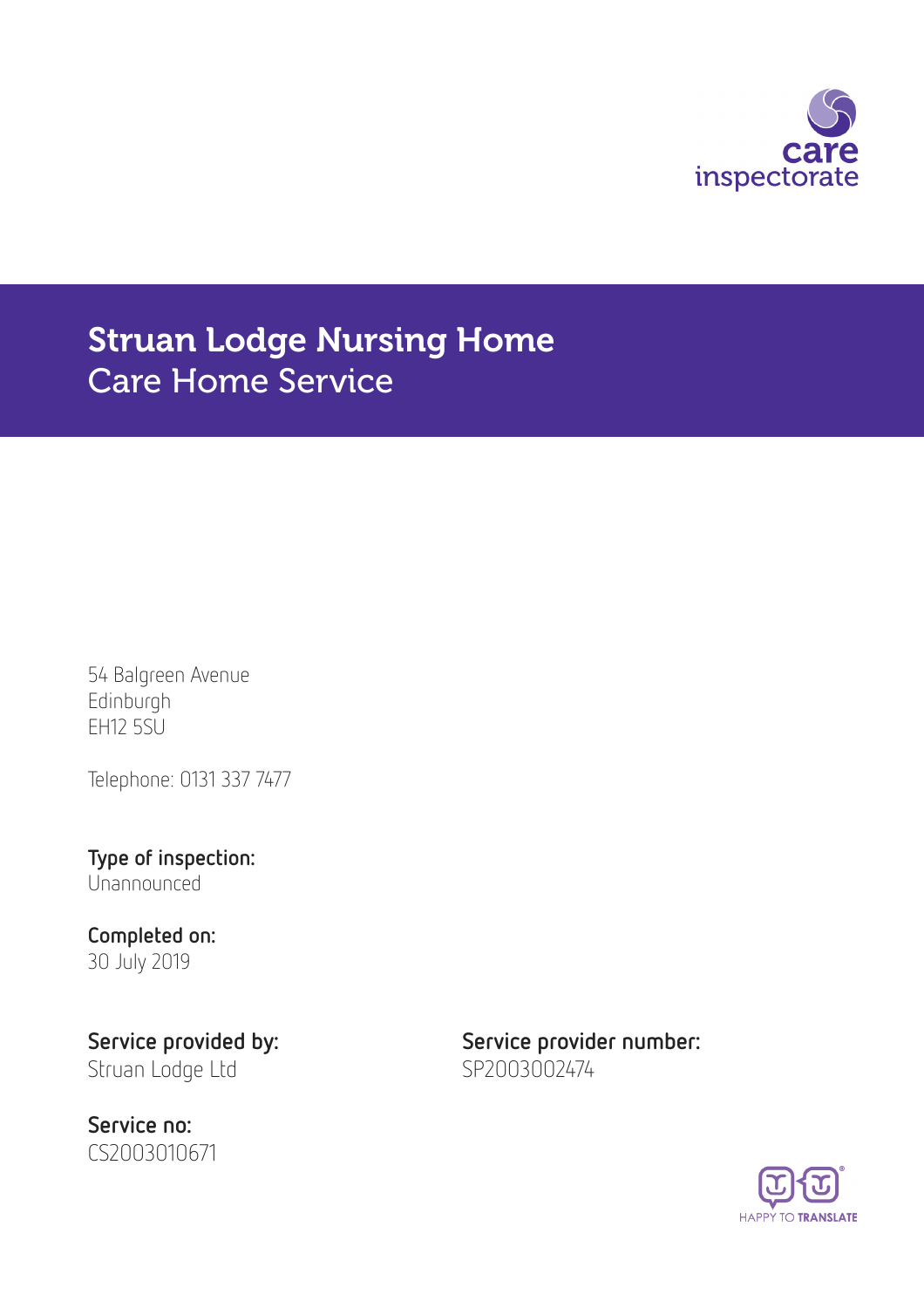

# Struan Lodge Nursing Home Care Home Service

54 Balgreen Avenue Edinburgh EH12 5SU

Telephone: 0131 337 7477

Type of inspection: Unannounced

## Completed on: 30 July 2019

Struan Lodge Ltd SP2003002474

Service no: CS2003010671

Service provided by: Service provider number:

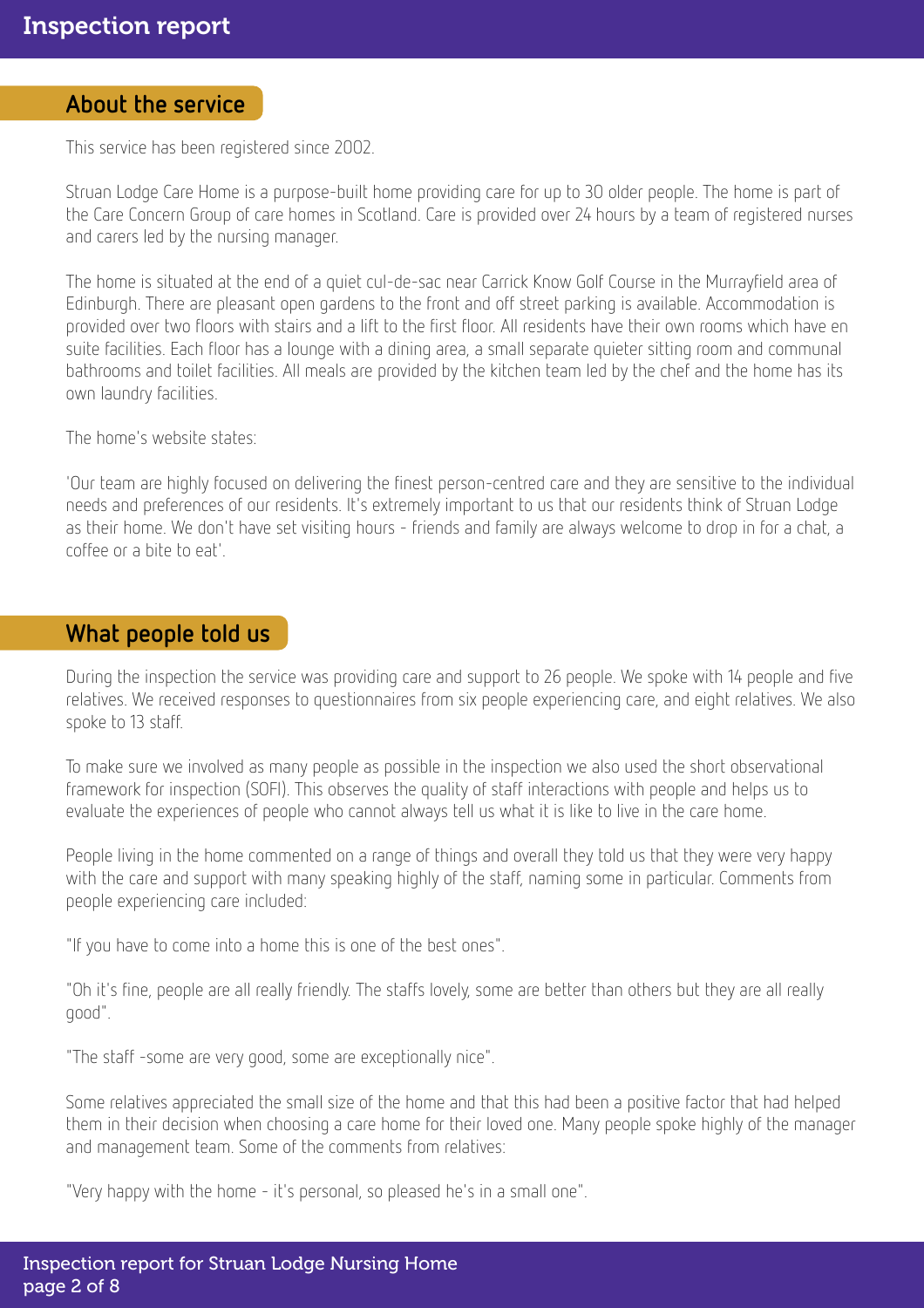#### About the service

This service has been registered since 2002.

Struan Lodge Care Home is a purpose-built home providing care for up to 30 older people. The home is part of the Care Concern Group of care homes in Scotland. Care is provided over 24 hours by a team of registered nurses and carers led by the nursing manager.

The home is situated at the end of a quiet cul-de-sac near Carrick Know Golf Course in the Murrayfield area of Edinburgh. There are pleasant open gardens to the front and off street parking is available. Accommodation is provided over two floors with stairs and a lift to the first floor. All residents have their own rooms which have en suite facilities. Each floor has a lounge with a dining area, a small separate quieter sitting room and communal bathrooms and toilet facilities. All meals are provided by the kitchen team led by the chef and the home has its own laundry facilities.

The home's website states:

'Our team are highly focused on delivering the finest person-centred care and they are sensitive to the individual needs and preferences of our residents. It's extremely important to us that our residents think of Struan Lodge as their home. We don't have set visiting hours - friends and family are always welcome to drop in for a chat, a coffee or a bite to eat'.

## What people told us

During the inspection the service was providing care and support to 26 people. We spoke with 14 people and five relatives. We received responses to questionnaires from six people experiencing care, and eight relatives. We also spoke to 13 staff.

To make sure we involved as many people as possible in the inspection we also used the short observational framework for inspection (SOFI). This observes the quality of staff interactions with people and helps us to evaluate the experiences of people who cannot always tell us what it is like to live in the care home.

People living in the home commented on a range of things and overall they told us that they were very happy with the care and support with many speaking highly of the staff, naming some in particular. Comments from people experiencing care included:

"If you have to come into a home this is one of the best ones".

"Oh it's fine, people are all really friendly. The staffs lovely, some are better than others but they are all really good".

"The staff -some are very good, some are exceptionally nice".

Some relatives appreciated the small size of the home and that this had been a positive factor that had helped them in their decision when choosing a care home for their loved one. Many people spoke highly of the manager and management team. Some of the comments from relatives:

"Very happy with the home - it's personal, so pleased he's in a small one".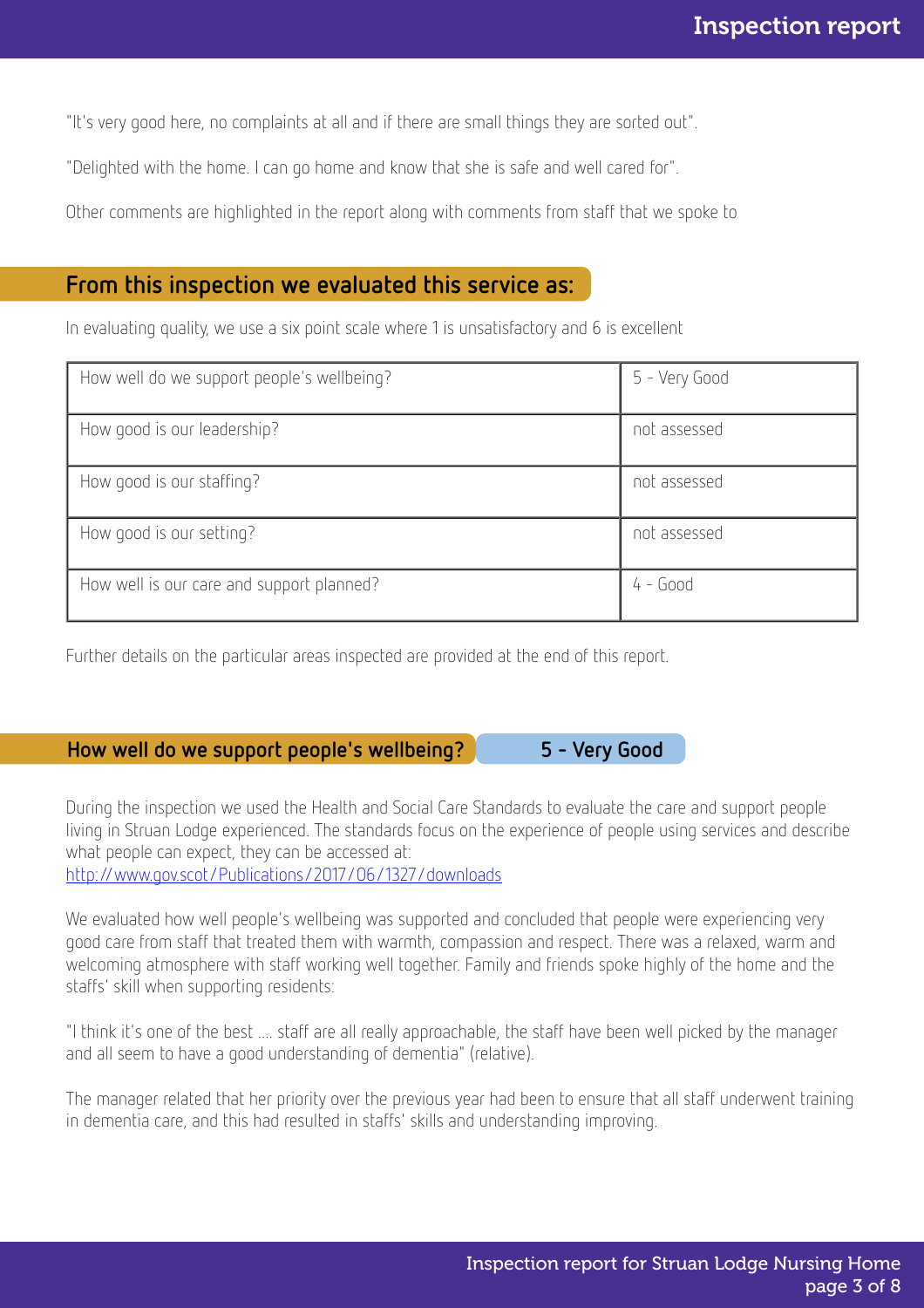"It's very good here, no complaints at all and if there are small things they are sorted out".

"Delighted with the home. I can go home and know that she is safe and well cared for".

Other comments are highlighted in the report along with comments from staff that we spoke to

## From this inspection we evaluated this service as:

In evaluating quality, we use a six point scale where 1 is unsatisfactory and 6 is excellent

| How well do we support people's wellbeing? | 5 - Very Good |
|--------------------------------------------|---------------|
| How good is our leadership?                | not assessed  |
| How good is our staffing?                  | not assessed  |
| How good is our setting?                   | not assessed  |
| How well is our care and support planned?  | $4 - Good$    |

Further details on the particular areas inspected are provided at the end of this report.

#### How well do we support people's wellbeing? 5 - Very Good

During the inspection we used the Health and Social Care Standards to evaluate the care and support people living in Struan Lodge experienced. The standards focus on the experience of people using services and describe what people can expect, they can be accessed at:

<http://www.gov.scot/Publications/2017/06/1327/downloads>

We evaluated how well people's wellbeing was supported and concluded that people were experiencing very good care from staff that treated them with warmth, compassion and respect. There was a relaxed, warm and welcoming atmosphere with staff working well together. Family and friends spoke highly of the home and the staffs' skill when supporting residents:

"I think it's one of the best .... staff are all really approachable, the staff have been well picked by the manager and all seem to have a good understanding of dementia" (relative).

The manager related that her priority over the previous year had been to ensure that all staff underwent training in dementia care, and this had resulted in staffs' skills and understanding improving.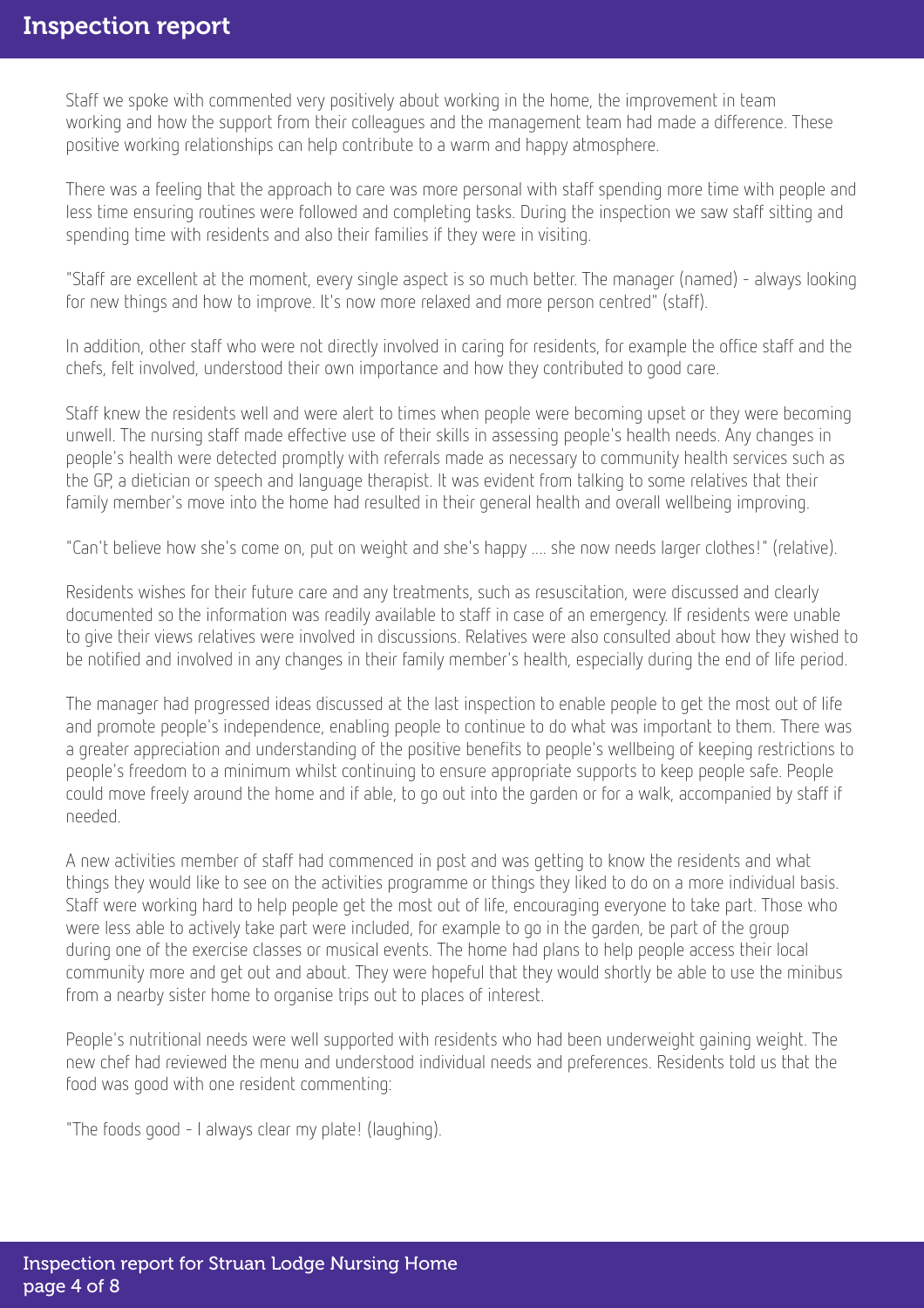Staff we spoke with commented very positively about working in the home, the improvement in team working and how the support from their colleagues and the management team had made a difference. These positive working relationships can help contribute to a warm and happy atmosphere.

There was a feeling that the approach to care was more personal with staff spending more time with people and less time ensuring routines were followed and completing tasks. During the inspection we saw staff sitting and spending time with residents and also their families if they were in visiting.

"Staff are excellent at the moment, every single aspect is so much better. The manager (named) - always looking for new things and how to improve. It's now more relaxed and more person centred" (staff).

In addition, other staff who were not directly involved in caring for residents, for example the office staff and the chefs, felt involved, understood their own importance and how they contributed to good care.

Staff knew the residents well and were alert to times when people were becoming upset or they were becoming unwell. The nursing staff made effective use of their skills in assessing people's health needs. Any changes in people's health were detected promptly with referrals made as necessary to community health services such as the GP, a dietician or speech and language therapist. It was evident from talking to some relatives that their family member's move into the home had resulted in their general health and overall wellbeing improving.

"Can't believe how she's come on, put on weight and she's happy .... she now needs larger clothes!" (relative).

Residents wishes for their future care and any treatments, such as resuscitation, were discussed and clearly documented so the information was readily available to staff in case of an emergency. If residents were unable to give their views relatives were involved in discussions. Relatives were also consulted about how they wished to be notified and involved in any changes in their family member's health, especially during the end of life period.

The manager had progressed ideas discussed at the last inspection to enable people to get the most out of life and promote people's independence, enabling people to continue to do what was important to them. There was a greater appreciation and understanding of the positive benefits to people's wellbeing of keeping restrictions to people's freedom to a minimum whilst continuing to ensure appropriate supports to keep people safe. People could move freely around the home and if able, to go out into the garden or for a walk, accompanied by staff if needed.

A new activities member of staff had commenced in post and was getting to know the residents and what things they would like to see on the activities programme or things they liked to do on a more individual basis. Staff were working hard to help people get the most out of life, encouraging everyone to take part. Those who were less able to actively take part were included, for example to go in the garden, be part of the group during one of the exercise classes or musical events. The home had plans to help people access their local community more and get out and about. They were hopeful that they would shortly be able to use the minibus from a nearby sister home to organise trips out to places of interest.

People's nutritional needs were well supported with residents who had been underweight gaining weight. The new chef had reviewed the menu and understood individual needs and preferences. Residents told us that the food was good with one resident commenting:

"The foods good - I always clear my plate! (laughing).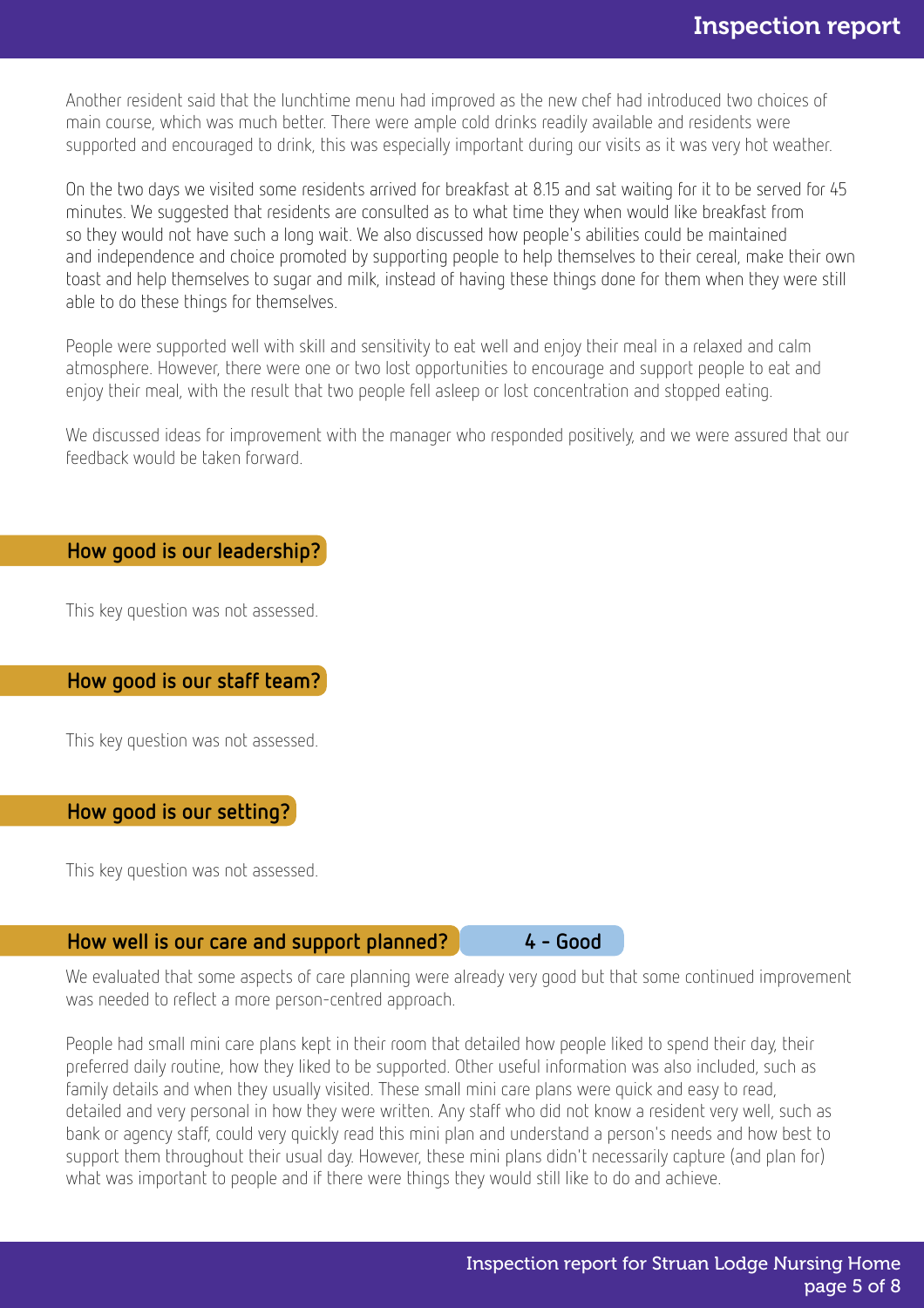Another resident said that the lunchtime menu had improved as the new chef had introduced two choices of main course, which was much better. There were ample cold drinks readily available and residents were supported and encouraged to drink, this was especially important during our visits as it was very hot weather.

On the two days we visited some residents arrived for breakfast at 8.15 and sat waiting for it to be served for 45 minutes. We suggested that residents are consulted as to what time they when would like breakfast from so they would not have such a long wait. We also discussed how people's abilities could be maintained and independence and choice promoted by supporting people to help themselves to their cereal, make their own toast and help themselves to sugar and milk, instead of having these things done for them when they were still able to do these things for themselves.

People were supported well with skill and sensitivity to eat well and enjoy their meal in a relaxed and calm atmosphere. However, there were one or two lost opportunities to encourage and support people to eat and enjoy their meal, with the result that two people fell asleep or lost concentration and stopped eating.

We discussed ideas for improvement with the manager who responded positively, and we were assured that our feedback would be taken forward.

#### How good is our leadership?

This key question was not assessed.

How good is our staff team?

This key question was not assessed.

#### How good is our setting?

This key question was not assessed.

#### How well is our care and support planned? 4 - Good

We evaluated that some aspects of care planning were already very good but that some continued improvement was needed to reflect a more person-centred approach.

People had small mini care plans kept in their room that detailed how people liked to spend their day, their preferred daily routine, how they liked to be supported. Other useful information was also included, such as family details and when they usually visited. These small mini care plans were quick and easy to read, detailed and very personal in how they were written. Any staff who did not know a resident very well, such as bank or agency staff, could very quickly read this mini plan and understand a person's needs and how best to support them throughout their usual day. However, these mini plans didn't necessarily capture (and plan for) what was important to people and if there were things they would still like to do and achieve.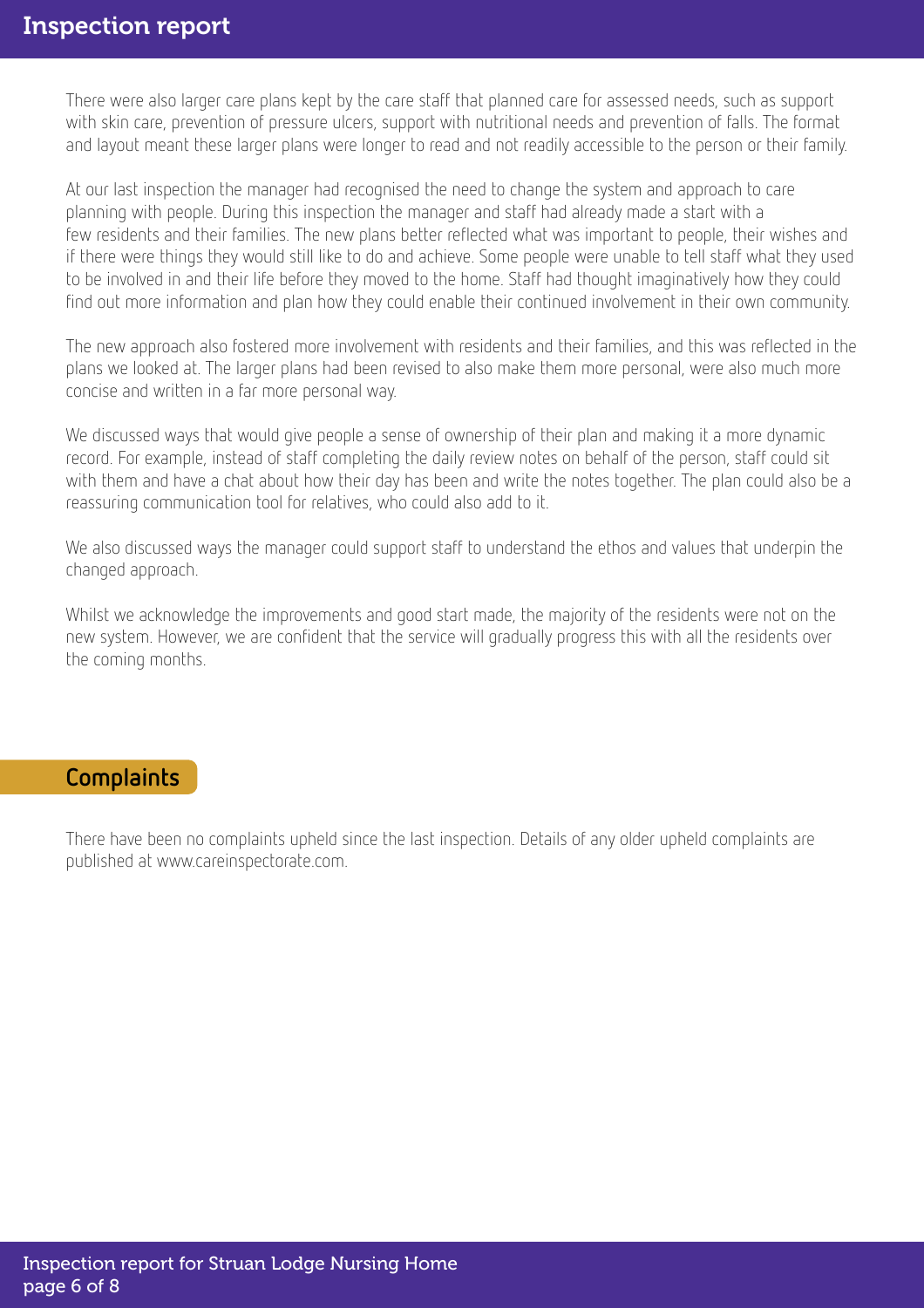There were also larger care plans kept by the care staff that planned care for assessed needs, such as support with skin care, prevention of pressure ulcers, support with nutritional needs and prevention of falls. The format and layout meant these larger plans were longer to read and not readily accessible to the person or their family.

At our last inspection the manager had recognised the need to change the system and approach to care planning with people. During this inspection the manager and staff had already made a start with a few residents and their families. The new plans better reflected what was important to people, their wishes and if there were things they would still like to do and achieve. Some people were unable to tell staff what they used to be involved in and their life before they moved to the home. Staff had thought imaginatively how they could find out more information and plan how they could enable their continued involvement in their own community.

The new approach also fostered more involvement with residents and their families, and this was reflected in the plans we looked at. The larger plans had been revised to also make them more personal, were also much more concise and written in a far more personal way.

We discussed ways that would give people a sense of ownership of their plan and making it a more dynamic record. For example, instead of staff completing the daily review notes on behalf of the person, staff could sit with them and have a chat about how their day has been and write the notes together. The plan could also be a reassuring communication tool for relatives, who could also add to it.

We also discussed ways the manager could support staff to understand the ethos and values that underpin the changed approach.

Whilst we acknowledge the improvements and good start made, the majority of the residents were not on the new system. However, we are confident that the service will gradually progress this with all the residents over the coming months.

## **Complaints**

There have been no complaints upheld since the last inspection. Details of any older upheld complaints are published at www.careinspectorate.com.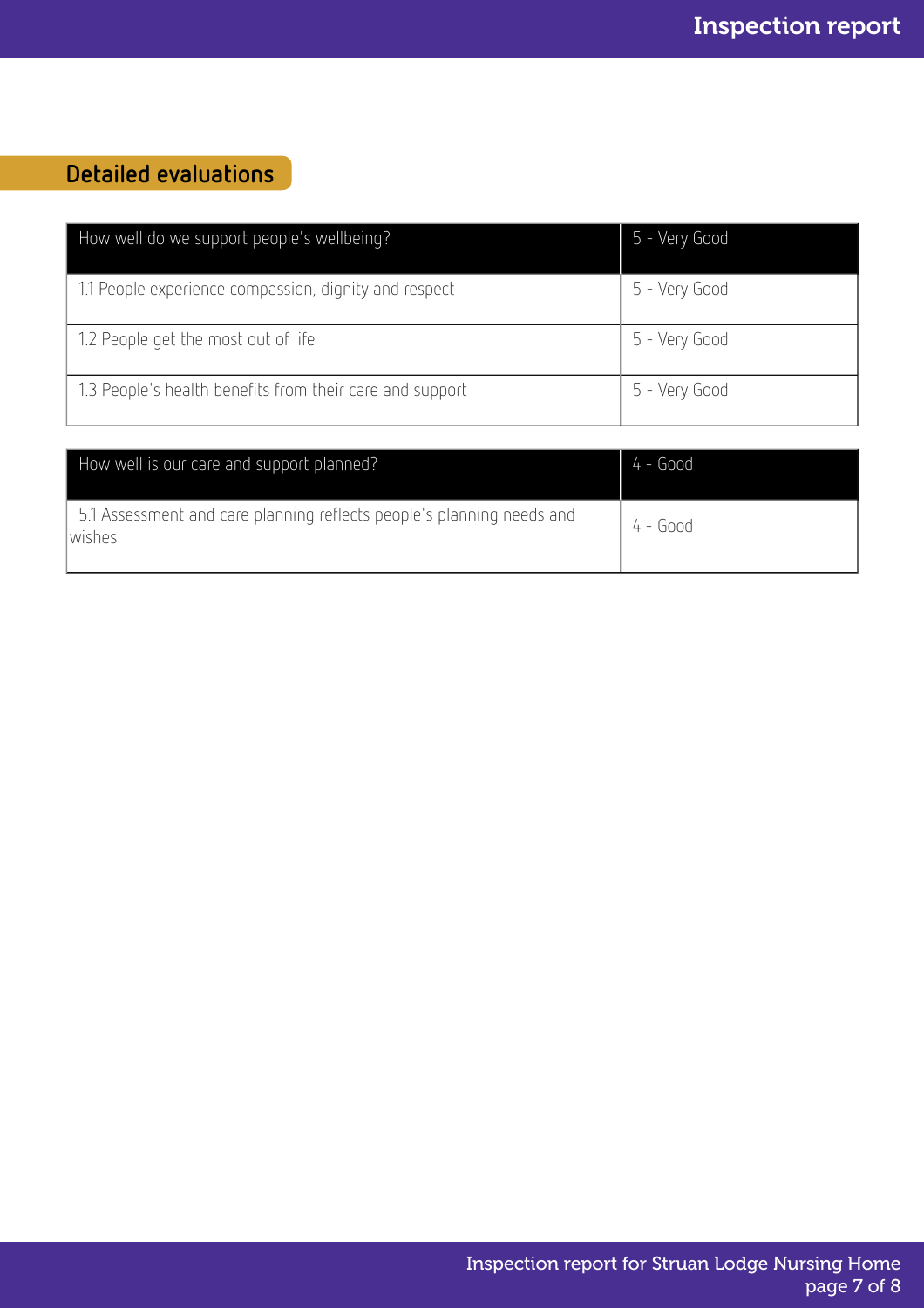## Detailed evaluations

| How well do we support people's wellbeing?               | 5 - Very Good |
|----------------------------------------------------------|---------------|
| 1.1 People experience compassion, dignity and respect    | 5 - Very Good |
| 1.2 People get the most out of life                      | 5 - Very Good |
| 1.3 People's health benefits from their care and support | 5 - Very Good |

| How well is our care and support planned?                                        | $4 - Good$ |
|----------------------------------------------------------------------------------|------------|
| 5.1 Assessment and care planning reflects people's planning needs and<br>lwishes | 4 - Good   |